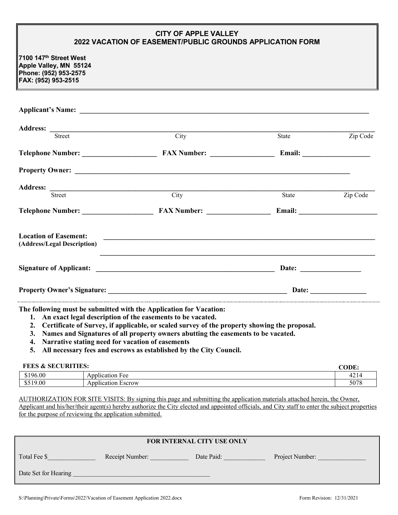## **CITY OF APPLE VALLEY 2022 VACATION OF EASEMENT/PUBLIC GROUNDS APPLICATION FORM**

**7100 147th Street West Apple Valley, MN 55124 Phone: (952) 953-2575 FAX: (952) 953-2515**

| <b>Street</b>                                               | $\overline{City}$ | State                 | Zip Code |
|-------------------------------------------------------------|-------------------|-----------------------|----------|
|                                                             |                   |                       |          |
|                                                             |                   |                       |          |
|                                                             |                   |                       |          |
| Street                                                      | City              | State                 | Zip Code |
|                                                             |                   |                       |          |
| <b>Location of Easement:</b><br>(Address/Legal Description) |                   |                       |          |
|                                                             |                   | Date: $\qquad \qquad$ |          |
|                                                             |                   |                       |          |

**The following must be submitted with the Application for Vacation:**

- **1. An exact legal description of the easements to be vacated.**
- **2. Certificate of Survey, if applicable, or scaled survey of the property showing the proposal.**
- **3. Names and Signatures of all property owners abutting the easements to be vacated.**
- **4. Narrative stating need for vacation of easements**
- **5. All necessary fees and escrows as established by the City Council.**

## **FEES & SECURITIES: CODE:** Application Fee 4214 \$519.00 Application Escrow 5078

AUTHORIZATION FOR SITE VISITS: By signing this page and submitting the application materials attached herein, the Owner, Applicant and his/her/their agent(s) hereby authorize the City elected and appointed officials, and City staff to enter the subject properties for the purpose of reviewing the application submitted.

| FOR INTERNAL CITY USE ONLY |                 |            |                 |  |  |
|----------------------------|-----------------|------------|-----------------|--|--|
| Total Fee \$               | Receipt Number: | Date Paid: | Project Number: |  |  |
| Date Set for Hearing       |                 |            |                 |  |  |